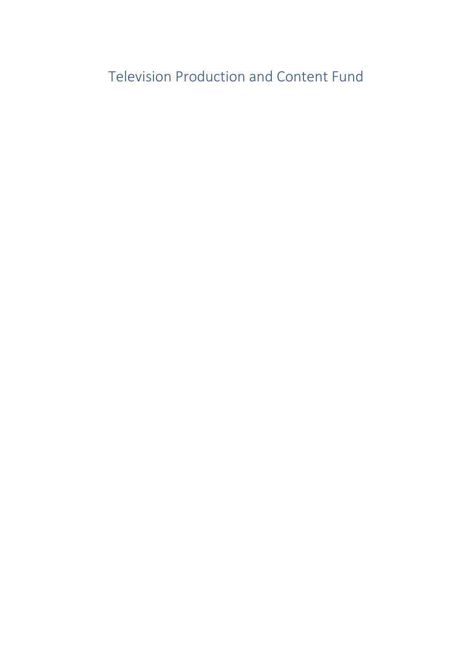Television Production and Content Fund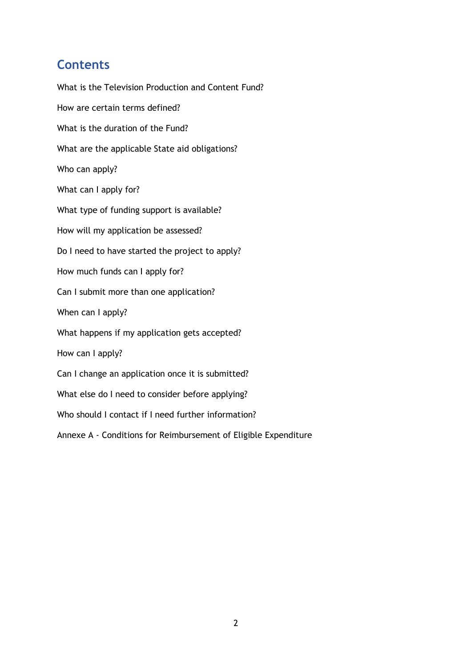## **Contents**

What is the Television Production and Content Fund? How are certain terms defined? What is the duration of the Fund? What are the applicable State aid obligations? Who can apply? What can I apply for? What type of funding support is available? How will my application be assessed? Do I need to have started the project to apply? How much funds can I apply for? Can I submit more than one application? When can I apply? What happens if my application gets accepted? How can I apply? Can I change an application once it is submitted? What else do I need to consider before applying? Who should I contact if I need further information? Annexe A - Conditions for Reimbursement of Eligible Expenditure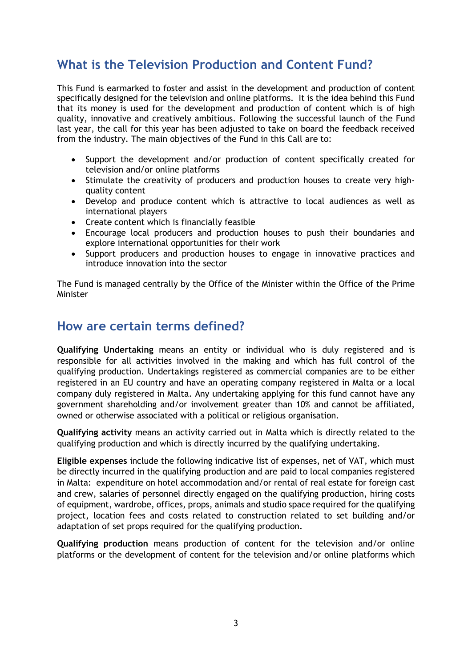# **What is the Television Production and Content Fund?**

This Fund is earmarked to foster and assist in the development and production of content specifically designed for the television and online platforms. It is the idea behind this Fund that its money is used for the development and production of content which is of high quality, innovative and creatively ambitious. Following the successful launch of the Fund last year, the call for this year has been adjusted to take on board the feedback received from the industry. The main objectives of the Fund in this Call are to:

- Support the development and/or production of content specifically created for television and/or online platforms
- Stimulate the creativity of producers and production houses to create very highquality content
- Develop and produce content which is attractive to local audiences as well as international players
- Create content which is financially feasible
- Encourage local producers and production houses to push their boundaries and explore international opportunities for their work
- Support producers and production houses to engage in innovative practices and introduce innovation into the sector

The Fund is managed centrally by the Office of the Minister within the Office of the Prime **Minister** 

### **How are certain terms defined?**

**Qualifying Undertaking** means an entity or individual who is duly registered and is responsible for all activities involved in the making and which has full control of the qualifying production. Undertakings registered as commercial companies are to be either registered in an EU country and have an operating company registered in Malta or a local company duly registered in Malta. Any undertaking applying for this fund cannot have any government shareholding and/or involvement greater than 10% and cannot be affiliated, owned or otherwise associated with a political or religious organisation.

**Qualifying activity** means an activity carried out in Malta which is directly related to the qualifying production and which is directly incurred by the qualifying undertaking.

**Eligible expenses** include the following indicative list of expenses, net of VAT, which must be directly incurred in the qualifying production and are paid to local companies registered in Malta: expenditure on hotel accommodation and/or rental of real estate for foreign cast and crew, salaries of personnel directly engaged on the qualifying production, hiring costs of equipment, wardrobe, offices, props, animals and studio space required for the qualifying project, location fees and costs related to construction related to set building and/or adaptation of set props required for the qualifying production.

**Qualifying production** means production of content for the television and/or online platforms or the development of content for the television and/or online platforms which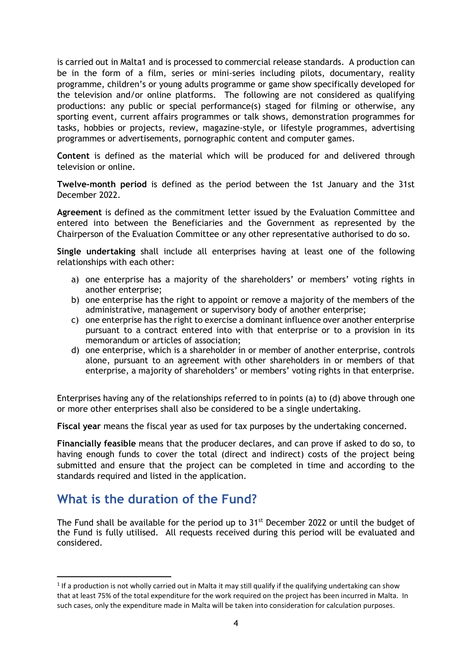is carried out in Malta1 and is processed to commercial release standards. A production can be in the form of a film, series or mini-series including pilots, documentary, reality programme, children's or young adults programme or game show specifically developed for the television and/or online platforms. The following are not considered as qualifying productions: any public or special performance(s) staged for filming or otherwise, any sporting event, current affairs programmes or talk shows, demonstration programmes for tasks, hobbies or projects, review, magazine-style, or lifestyle programmes, advertising programmes or advertisements, pornographic content and computer games.

**Content** is defined as the material which will be produced for and delivered through television or online.

**Twelve-month period** is defined as the period between the 1st January and the 31st December 2022.

**Agreement** is defined as the commitment letter issued by the Evaluation Committee and entered into between the Beneficiaries and the Government as represented by the Chairperson of the Evaluation Committee or any other representative authorised to do so.

**Single undertaking** shall include all enterprises having at least one of the following relationships with each other:

- a) one enterprise has a majority of the shareholders' or members' voting rights in another enterprise;
- b) one enterprise has the right to appoint or remove a majority of the members of the administrative, management or supervisory body of another enterprise;
- c) one enterprise has the right to exercise a dominant influence over another enterprise pursuant to a contract entered into with that enterprise or to a provision in its memorandum or articles of association;
- d) one enterprise, which is a shareholder in or member of another enterprise, controls alone, pursuant to an agreement with other shareholders in or members of that enterprise, a majority of shareholders' or members' voting rights in that enterprise.

Enterprises having any of the relationships referred to in points (a) to (d) above through one or more other enterprises shall also be considered to be a single undertaking.

**Fiscal year** means the fiscal year as used for tax purposes by the undertaking concerned.

**Financially feasible** means that the producer declares, and can prove if asked to do so, to having enough funds to cover the total (direct and indirect) costs of the project being submitted and ensure that the project can be completed in time and according to the standards required and listed in the application.

## **What is the duration of the Fund?**

The Fund shall be available for the period up to  $31^{st}$  December 2022 or until the budget of the Fund is fully utilised. All requests received during this period will be evaluated and considered.

 $1$  If a production is not wholly carried out in Malta it may still qualify if the qualifying undertaking can show that at least 75% of the total expenditure for the work required on the project has been incurred in Malta. In such cases, only the expenditure made in Malta will be taken into consideration for calculation purposes.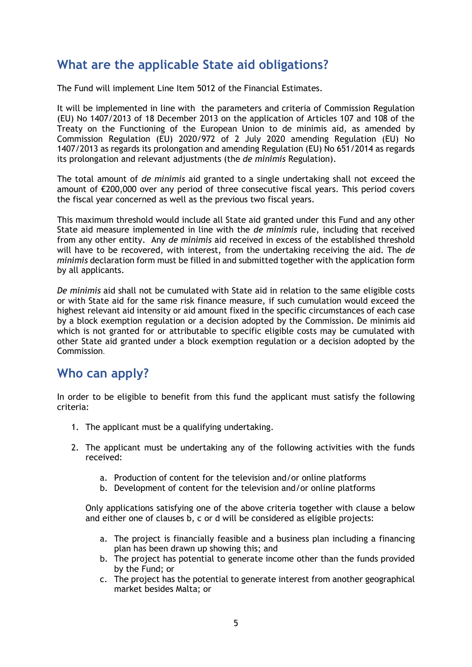# **What are the applicable State aid obligations?**

The Fund will implement Line Item 5012 of the Financial Estimates.

It will be implemented in line with the parameters and criteria of Commission Regulation (EU) No 1407/2013 of 18 December 2013 on the application of Articles 107 and 108 of the Treaty on the Functioning of the European Union to de minimis aid, as amended by Commission Regulation (EU) 2020/972 of 2 July 2020 amending Regulation (EU) No 1407/2013 as regards its prolongation and amending Regulation (EU) No 651/2014 as regards its prolongation and relevant adjustments (the *de minimis* Regulation).

The total amount of *de minimis* aid granted to a single undertaking shall not exceed the amount of €200,000 over any period of three consecutive fiscal years. This period covers the fiscal year concerned as well as the previous two fiscal years.

This maximum threshold would include all State aid granted under this Fund and any other State aid measure implemented in line with the *de minimis* rule, including that received from any other entity. Any *de minimis* aid received in excess of the established threshold will have to be recovered, with interest, from the undertaking receiving the aid. The *de minimis* declaration form must be filled in and submitted together with the application form by all applicants.

*De minimis* aid shall not be cumulated with State aid in relation to the same eligible costs or with State aid for the same risk finance measure, if such cumulation would exceed the highest relevant aid intensity or aid amount fixed in the specific circumstances of each case by a block exemption regulation or a decision adopted by the Commission. De minimis aid which is not granted for or attributable to specific eligible costs may be cumulated with other State aid granted under a block exemption regulation or a decision adopted by the Commission.

### **Who can apply?**

In order to be eligible to benefit from this fund the applicant must satisfy the following criteria:

- 1. The applicant must be a qualifying undertaking.
- 2. The applicant must be undertaking any of the following activities with the funds received:
	- a. Production of content for the television and/or online platforms
	- b. Development of content for the television and/or online platforms

Only applications satisfying one of the above criteria together with clause a below and either one of clauses b, c or d will be considered as eligible projects:

- a. The project is financially feasible and a business plan including a financing plan has been drawn up showing this; and
- b. The project has potential to generate income other than the funds provided by the Fund; or
- c. The project has the potential to generate interest from another geographical market besides Malta; or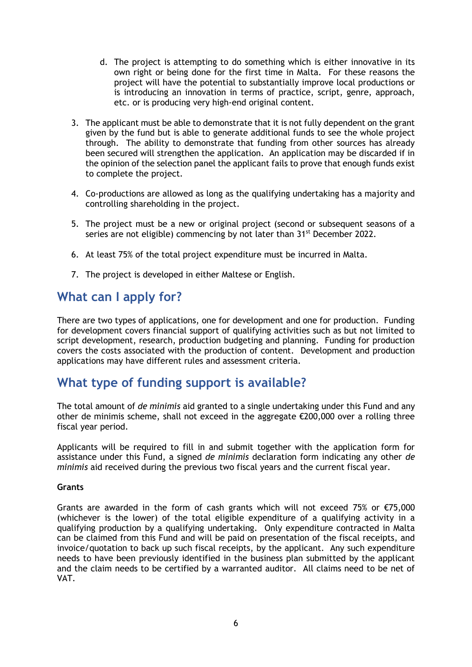- d. The project is attempting to do something which is either innovative in its own right or being done for the first time in Malta. For these reasons the project will have the potential to substantially improve local productions or is introducing an innovation in terms of practice, script, genre, approach, etc. or is producing very high-end original content.
- 3. The applicant must be able to demonstrate that it is not fully dependent on the grant given by the fund but is able to generate additional funds to see the whole project through. The ability to demonstrate that funding from other sources has already been secured will strengthen the application. An application may be discarded if in the opinion of the selection panel the applicant fails to prove that enough funds exist to complete the project.
- 4. Co-productions are allowed as long as the qualifying undertaking has a majority and controlling shareholding in the project.
- 5. The project must be a new or original project (second or subsequent seasons of a series are not eligible) commencing by not later than 31<sup>st</sup> December 2022.
- 6. At least 75% of the total project expenditure must be incurred in Malta.
- 7. The project is developed in either Maltese or English.

# **What can I apply for?**

There are two types of applications, one for development and one for production. Funding for development covers financial support of qualifying activities such as but not limited to script development, research, production budgeting and planning. Funding for production covers the costs associated with the production of content. Development and production applications may have different rules and assessment criteria.

## **What type of funding support is available?**

The total amount of *de minimis* aid granted to a single undertaking under this Fund and any other de minimis scheme, shall not exceed in the aggregate €200,000 over a rolling three fiscal year period.

Applicants will be required to fill in and submit together with the application form for assistance under this Fund, a signed *de minimis* declaration form indicating any other *de minimis* aid received during the previous two fiscal years and the current fiscal year.

#### **Grants**

Grants are awarded in the form of cash grants which will not exceed 75% or  $\epsilon$ 75,000 (whichever is the lower) of the total eligible expenditure of a qualifying activity in a qualifying production by a qualifying undertaking. Only expenditure contracted in Malta can be claimed from this Fund and will be paid on presentation of the fiscal receipts, and invoice/quotation to back up such fiscal receipts, by the applicant. Any such expenditure needs to have been previously identified in the business plan submitted by the applicant and the claim needs to be certified by a warranted auditor. All claims need to be net of VAT.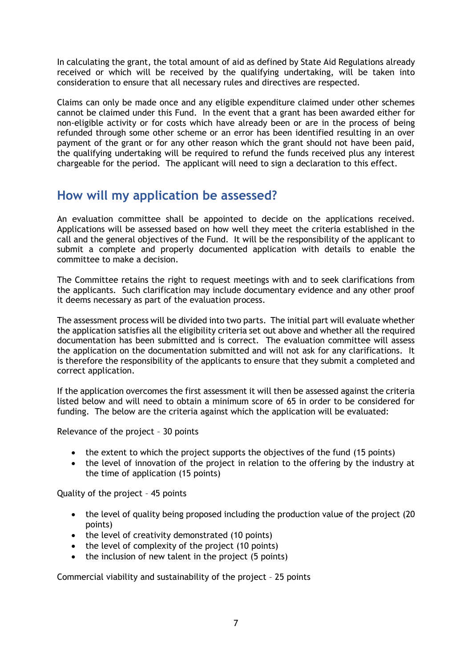In calculating the grant, the total amount of aid as defined by State Aid Regulations already received or which will be received by the qualifying undertaking, will be taken into consideration to ensure that all necessary rules and directives are respected.

Claims can only be made once and any eligible expenditure claimed under other schemes cannot be claimed under this Fund. In the event that a grant has been awarded either for non-eligible activity or for costs which have already been or are in the process of being refunded through some other scheme or an error has been identified resulting in an over payment of the grant or for any other reason which the grant should not have been paid, the qualifying undertaking will be required to refund the funds received plus any interest chargeable for the period. The applicant will need to sign a declaration to this effect.

### **How will my application be assessed?**

An evaluation committee shall be appointed to decide on the applications received. Applications will be assessed based on how well they meet the criteria established in the call and the general objectives of the Fund. It will be the responsibility of the applicant to submit a complete and properly documented application with details to enable the committee to make a decision.

The Committee retains the right to request meetings with and to seek clarifications from the applicants. Such clarification may include documentary evidence and any other proof it deems necessary as part of the evaluation process.

The assessment process will be divided into two parts. The initial part will evaluate whether the application satisfies all the eligibility criteria set out above and whether all the required documentation has been submitted and is correct. The evaluation committee will assess the application on the documentation submitted and will not ask for any clarifications. It is therefore the responsibility of the applicants to ensure that they submit a completed and correct application.

If the application overcomes the first assessment it will then be assessed against the criteria listed below and will need to obtain a minimum score of 65 in order to be considered for funding. The below are the criteria against which the application will be evaluated:

Relevance of the project – 30 points

- the extent to which the project supports the objectives of the fund (15 points)
- the level of innovation of the project in relation to the offering by the industry at the time of application (15 points)

Quality of the project – 45 points

- the level of quality being proposed including the production value of the project (20 points)
- the level of creativity demonstrated (10 points)
- the level of complexity of the project (10 points)
- the inclusion of new talent in the project (5 points)

Commercial viability and sustainability of the project – 25 points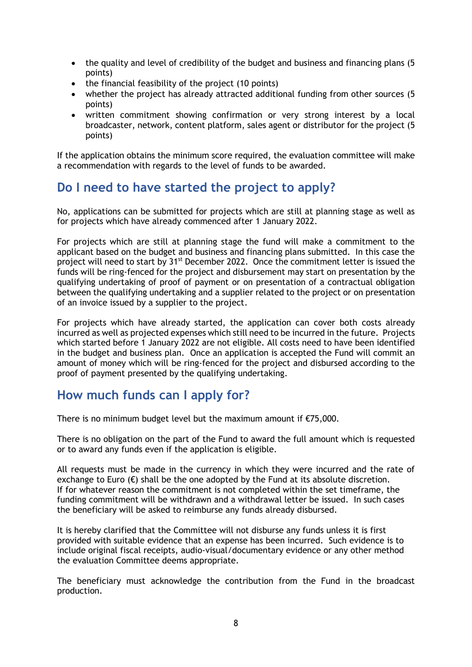- the quality and level of credibility of the budget and business and financing plans (5) points)
- the financial feasibility of the project (10 points)
- whether the project has already attracted additional funding from other sources (5 points)
- written commitment showing confirmation or very strong interest by a local broadcaster, network, content platform, sales agent or distributor for the project (5 points)

If the application obtains the minimum score required, the evaluation committee will make a recommendation with regards to the level of funds to be awarded.

# **Do I need to have started the project to apply?**

No, applications can be submitted for projects which are still at planning stage as well as for projects which have already commenced after 1 January 2022.

For projects which are still at planning stage the fund will make a commitment to the applicant based on the budget and business and financing plans submitted. In this case the project will need to start by 31<sup>st</sup> December 2022. Once the commitment letter is issued the funds will be ring-fenced for the project and disbursement may start on presentation by the qualifying undertaking of proof of payment or on presentation of a contractual obligation between the qualifying undertaking and a supplier related to the project or on presentation of an invoice issued by a supplier to the project.

For projects which have already started, the application can cover both costs already incurred as well as projected expenses which still need to be incurred in the future. Projects which started before 1 January 2022 are not eligible. All costs need to have been identified in the budget and business plan. Once an application is accepted the Fund will commit an amount of money which will be ring-fenced for the project and disbursed according to the proof of payment presented by the qualifying undertaking.

### **How much funds can I apply for?**

There is no minimum budget level but the maximum amount if €75,000.

There is no obligation on the part of the Fund to award the full amount which is requested or to award any funds even if the application is eligible.

All requests must be made in the currency in which they were incurred and the rate of exchange to Euro  $(\epsilon)$  shall be the one adopted by the Fund at its absolute discretion. If for whatever reason the commitment is not completed within the set timeframe, the funding commitment will be withdrawn and a withdrawal letter be issued. In such cases the beneficiary will be asked to reimburse any funds already disbursed.

It is hereby clarified that the Committee will not disburse any funds unless it is first provided with suitable evidence that an expense has been incurred. Such evidence is to include original fiscal receipts, audio-visual/documentary evidence or any other method the evaluation Committee deems appropriate.

The beneficiary must acknowledge the contribution from the Fund in the broadcast production.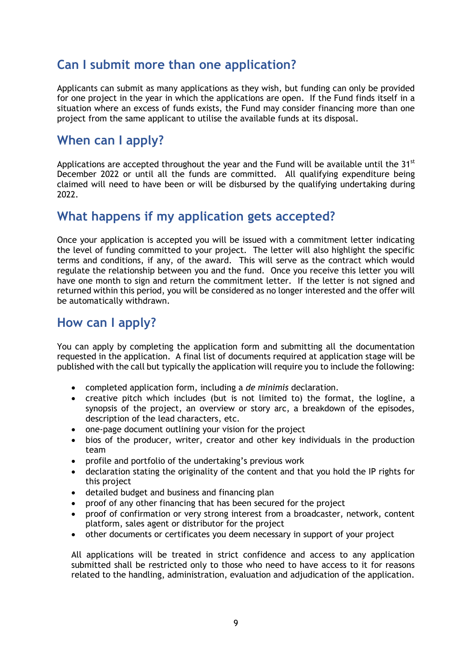# **Can I submit more than one application?**

Applicants can submit as many applications as they wish, but funding can only be provided for one project in the year in which the applications are open. If the Fund finds itself in a situation where an excess of funds exists, the Fund may consider financing more than one project from the same applicant to utilise the available funds at its disposal.

## **When can I apply?**

Applications are accepted throughout the year and the Fund will be available until the  $31<sup>st</sup>$ December 2022 or until all the funds are committed. All qualifying expenditure being claimed will need to have been or will be disbursed by the qualifying undertaking during 2022.

### **What happens if my application gets accepted?**

Once your application is accepted you will be issued with a commitment letter indicating the level of funding committed to your project. The letter will also highlight the specific terms and conditions, if any, of the award. This will serve as the contract which would regulate the relationship between you and the fund. Once you receive this letter you will have one month to sign and return the commitment letter. If the letter is not signed and returned within this period, you will be considered as no longer interested and the offer will be automatically withdrawn.

## **How can I apply?**

You can apply by completing the application form and submitting all the documentation requested in the application. A final list of documents required at application stage will be published with the call but typically the application will require you to include the following:

- completed application form, including a *de minimis* declaration.
- creative pitch which includes (but is not limited to) the format, the logline, a synopsis of the project, an overview or story arc, a breakdown of the episodes, description of the lead characters, etc.
- one-page document outlining your vision for the project
- bios of the producer, writer, creator and other key individuals in the production team
- profile and portfolio of the undertaking's previous work
- declaration stating the originality of the content and that you hold the IP rights for this project
- detailed budget and business and financing plan
- proof of any other financing that has been secured for the project
- proof of confirmation or very strong interest from a broadcaster, network, content platform, sales agent or distributor for the project
- other documents or certificates you deem necessary in support of your project

All applications will be treated in strict confidence and access to any application submitted shall be restricted only to those who need to have access to it for reasons related to the handling, administration, evaluation and adjudication of the application.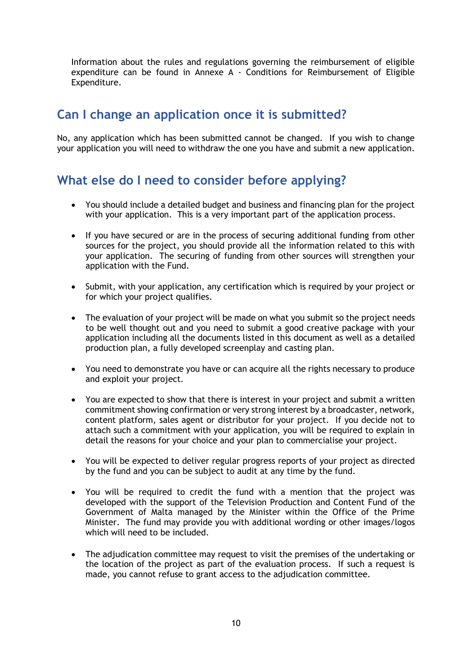Information about the rules and regulations governing the reimbursement of eligible expenditure can be found in Annexe A - Conditions for Reimbursement of Eligible Expenditure.

# **Can I change an application once it is submitted?**

No, any application which has been submitted cannot be changed. If you wish to change your application you will need to withdraw the one you have and submit a new application.

# **What else do I need to consider before applying?**

- You should include a detailed budget and business and financing plan for the project with your application. This is a very important part of the application process.
- If you have secured or are in the process of securing additional funding from other sources for the project, you should provide all the information related to this with your application. The securing of funding from other sources will strengthen your application with the Fund.
- Submit, with your application, any certification which is required by your project or for which your project qualifies.
- The evaluation of your project will be made on what you submit so the project needs to be well thought out and you need to submit a good creative package with your application including all the documents listed in this document as well as a detailed production plan, a fully developed screenplay and casting plan.
- You need to demonstrate you have or can acquire all the rights necessary to produce and exploit your project.
- You are expected to show that there is interest in your project and submit a written commitment showing confirmation or very strong interest by a broadcaster, network, content platform, sales agent or distributor for your project. If you decide not to attach such a commitment with your application, you will be required to explain in detail the reasons for your choice and your plan to commercialise your project.
- You will be expected to deliver regular progress reports of your project as directed by the fund and you can be subject to audit at any time by the fund.
- You will be required to credit the fund with a mention that the project was developed with the support of the Television Production and Content Fund of the Government of Malta managed by the Minister within the Office of the Prime Minister. The fund may provide you with additional wording or other images/logos which will need to be included.
- The adjudication committee may request to visit the premises of the undertaking or the location of the project as part of the evaluation process. If such a request is made, you cannot refuse to grant access to the adjudication committee.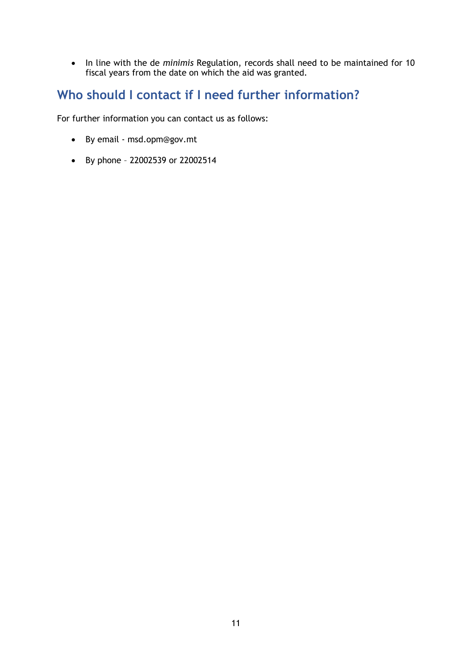• In line with the de *minimis* Regulation, records shall need to be maintained for 10 fiscal years from the date on which the aid was granted.

# **Who should I contact if I need further information?**

For further information you can contact us as follows:

- By email [msd.opm@gov.mt](mailto:msd.opm@gov.mt)
- By phone 22002539 or 22002514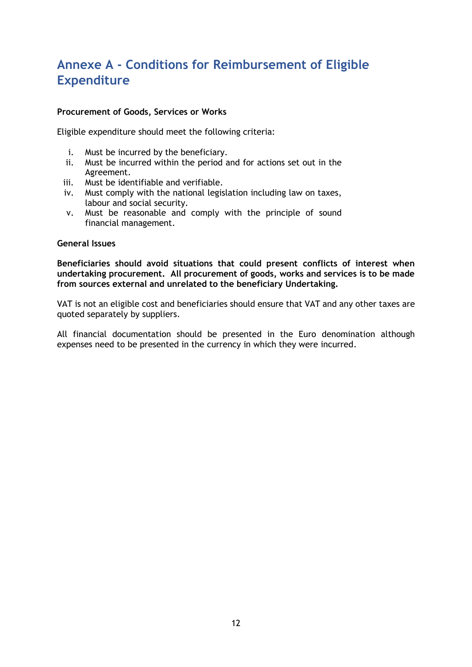# **Annexe A - Conditions for Reimbursement of Eligible Expenditure**

#### **Procurement of Goods, Services or Works**

Eligible expenditure should meet the following criteria:

- i. Must be incurred by the beneficiary.
- ii. Must be incurred within the period and for actions set out in the Agreement.
- iii. Must be identifiable and verifiable.
- iv. Must comply with the national legislation including law on taxes, labour and social security.
- v. Must be reasonable and comply with the principle of sound financial management.

#### **General Issues**

**Beneficiaries should avoid situations that could present conflicts of interest when undertaking procurement. All procurement of goods, works and services is to be made from sources external and unrelated to the beneficiary Undertaking.**

VAT is not an eligible cost and beneficiaries should ensure that VAT and any other taxes are quoted separately by suppliers.

All financial documentation should be presented in the Euro denomination although expenses need to be presented in the currency in which they were incurred.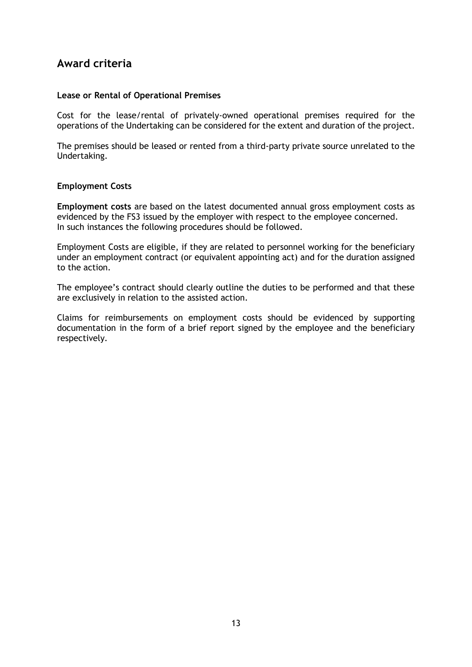### **Award criteria**

#### **Lease or Rental of Operational Premises**

Cost for the lease/rental of privately-owned operational premises required for the operations of the Undertaking can be considered for the extent and duration of the project.

The premises should be leased or rented from a third-party private source unrelated to the Undertaking.

#### **Employment Costs**

**Employment costs** are based on the latest documented annual gross employment costs as evidenced by the FS3 issued by the employer with respect to the employee concerned. In such instances the following procedures should be followed.

Employment Costs are eligible, if they are related to personnel working for the beneficiary under an employment contract (or equivalent appointing act) and for the duration assigned to the action.

The employee's contract should clearly outline the duties to be performed and that these are exclusively in relation to the assisted action.

Claims for reimbursements on employment costs should be evidenced by supporting documentation in the form of a brief report signed by the employee and the beneficiary respectively.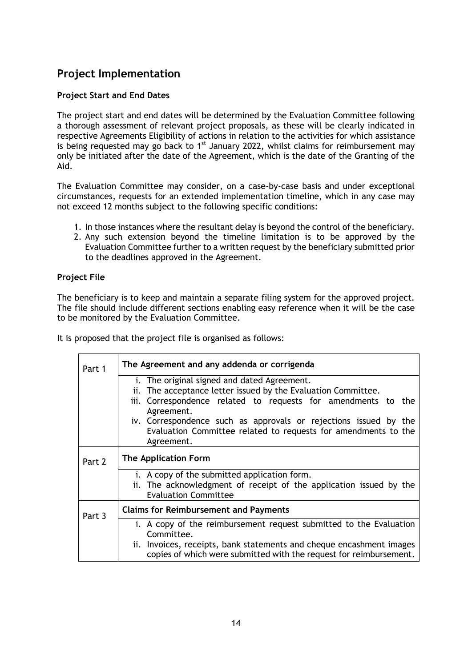### **Project Implementation**

### **Project Start and End Dates**

The project start and end dates will be determined by the Evaluation Committee following a thorough assessment of relevant project proposals, as these will be clearly indicated in respective Agreements Eligibility of actions in relation to the activities for which assistance is being requested may go back to  $1^{st}$  January 2022, whilst claims for reimbursement may only be initiated after the date of the Agreement, which is the date of the Granting of the Aid.

The Evaluation Committee may consider, on a case-by-case basis and under exceptional circumstances, requests for an extended implementation timeline, which in any case may not exceed 12 months subject to the following specific conditions:

- 1. In those instances where the resultant delay is beyond the control of the beneficiary.
- 2. Any such extension beyond the timeline limitation is to be approved by the Evaluation Committee further to a written request by the beneficiary submitted prior to the deadlines approved in the Agreement.

### **Project File**

The beneficiary is to keep and maintain a separate filing system for the approved project. The file should include different sections enabling easy reference when it will be the case to be monitored by the Evaluation Committee.

It is proposed that the project file is organised as follows:

| Part 1 | The Agreement and any addenda or corrigenda                                                                                                                                                                                                                                                                                          |
|--------|--------------------------------------------------------------------------------------------------------------------------------------------------------------------------------------------------------------------------------------------------------------------------------------------------------------------------------------|
|        | i. The original signed and dated Agreement.<br>The acceptance letter issued by the Evaluation Committee.<br>ij.<br>iii. Correspondence related to requests for amendments to the<br>Agreement.<br>iv. Correspondence such as approvals or rejections issued by the<br>Evaluation Committee related to requests for amendments to the |
|        | Agreement.                                                                                                                                                                                                                                                                                                                           |
| Part 2 | <b>The Application Form</b>                                                                                                                                                                                                                                                                                                          |
|        | i. A copy of the submitted application form.<br>ii. The acknowledgment of receipt of the application issued by the<br><b>Evaluation Committee</b>                                                                                                                                                                                    |
| Part 3 | <b>Claims for Reimbursement and Payments</b>                                                                                                                                                                                                                                                                                         |
|        | i. A copy of the reimbursement request submitted to the Evaluation<br>Committee.<br>ii. Invoices, receipts, bank statements and cheque encashment images<br>copies of which were submitted with the request for reimbursement.                                                                                                       |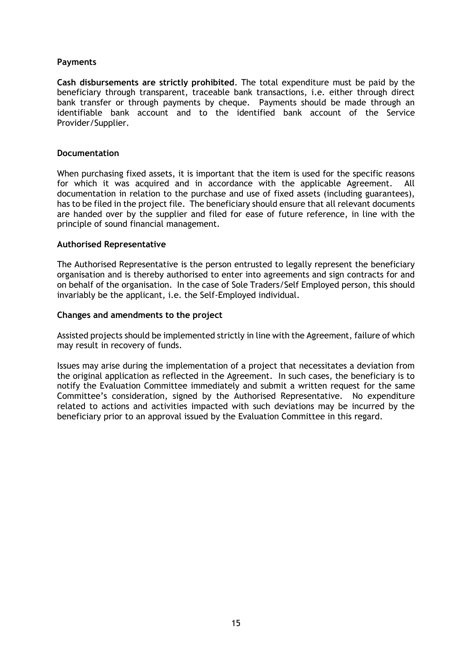#### **Payments**

**Cash disbursements are strictly prohibited**. The total expenditure must be paid by the beneficiary through transparent, traceable bank transactions, i.e. either through direct bank transfer or through payments by cheque. Payments should be made through an identifiable bank account and to the identified bank account of the Service Provider/Supplier.

#### **Documentation**

When purchasing fixed assets, it is important that the item is used for the specific reasons for which it was acquired and in accordance with the applicable Agreement. All documentation in relation to the purchase and use of fixed assets (including guarantees), has to be filed in the project file. The beneficiary should ensure that all relevant documents are handed over by the supplier and filed for ease of future reference, in line with the principle of sound financial management.

#### **Authorised Representative**

The Authorised Representative is the person entrusted to legally represent the beneficiary organisation and is thereby authorised to enter into agreements and sign contracts for and on behalf of the organisation. In the case of Sole Traders/Self Employed person, this should invariably be the applicant, i.e. the Self-Employed individual.

#### **Changes and amendments to the project**

Assisted projects should be implemented strictly in line with the Agreement, failure of which may result in recovery of funds.

Issues may arise during the implementation of a project that necessitates a deviation from the original application as reflected in the Agreement. In such cases, the beneficiary is to notify the Evaluation Committee immediately and submit a written request for the same Committee's consideration, signed by the Authorised Representative. No expenditure related to actions and activities impacted with such deviations may be incurred by the beneficiary prior to an approval issued by the Evaluation Committee in this regard.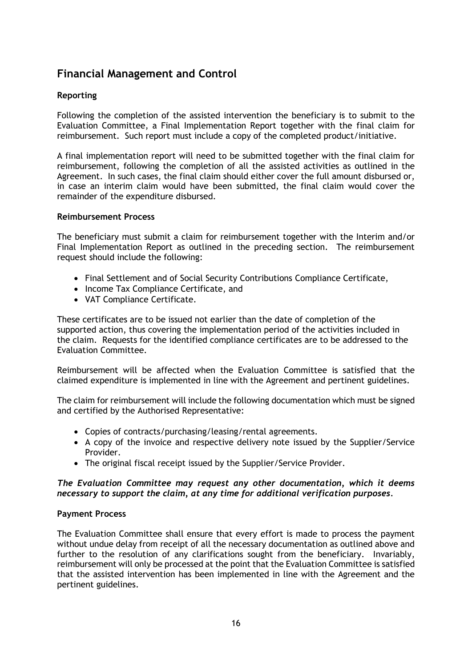### **Financial Management and Control**

### **Reporting**

Following the completion of the assisted intervention the beneficiary is to submit to the Evaluation Committee, a Final Implementation Report together with the final claim for reimbursement. Such report must include a copy of the completed product/initiative.

A final implementation report will need to be submitted together with the final claim for reimbursement, following the completion of all the assisted activities as outlined in the Agreement. In such cases, the final claim should either cover the full amount disbursed or, in case an interim claim would have been submitted, the final claim would cover the remainder of the expenditure disbursed.

#### **Reimbursement Process**

The beneficiary must submit a claim for reimbursement together with the Interim and/or Final Implementation Report as outlined in the preceding section. The reimbursement request should include the following:

- Final Settlement and of Social Security Contributions Compliance Certificate,
- Income Tax Compliance Certificate, and
- VAT Compliance Certificate.

These certificates are to be issued not earlier than the date of completion of the supported action, thus covering the implementation period of the activities included in the claim. Requests for the identified compliance certificates are to be addressed to the Evaluation Committee.

Reimbursement will be affected when the Evaluation Committee is satisfied that the claimed expenditure is implemented in line with the Agreement and pertinent guidelines.

The claim for reimbursement will include the following documentation which must be signed and certified by the Authorised Representative:

- Copies of contracts/purchasing/leasing/rental agreements.
- A copy of the invoice and respective delivery note issued by the Supplier/Service Provider.
- The original fiscal receipt issued by the Supplier/Service Provider.

#### *The Evaluation Committee may request any other documentation, which it deems necessary to support the claim, at any time for additional verification purposes.*

#### **Payment Process**

The Evaluation Committee shall ensure that every effort is made to process the payment without undue delay from receipt of all the necessary documentation as outlined above and further to the resolution of any clarifications sought from the beneficiary. Invariably, reimbursement will only be processed at the point that the Evaluation Committee is satisfied that the assisted intervention has been implemented in line with the Agreement and the pertinent guidelines.